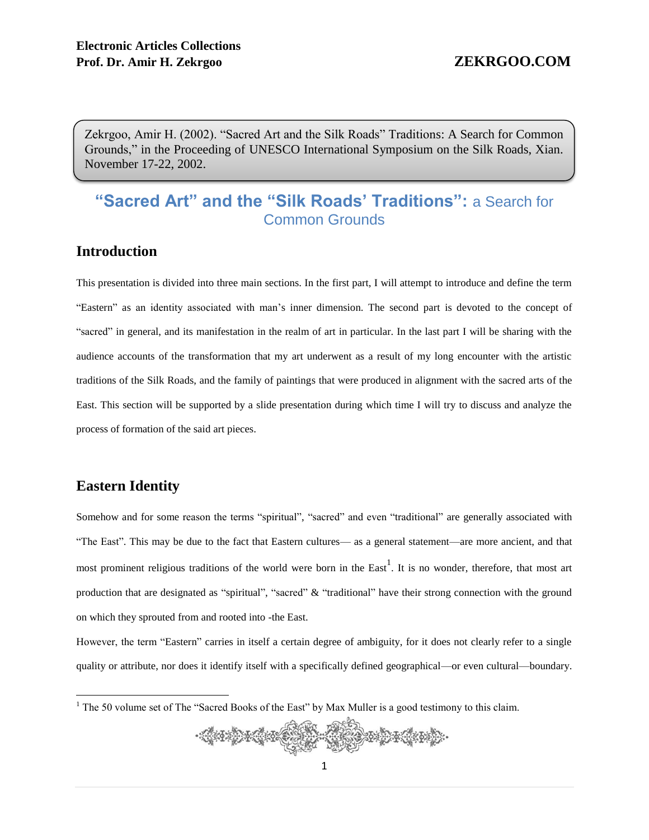Zekrgoo, Amir H. (2002). "Sacred Art and the Silk Roads" Traditions: A Search for Common Grounds," in the Proceeding of UNESCO International Symposium on the Silk Roads, Xian. November 17-22, 2002.

# **"Sacred Art" and the "Silk Roads' Traditions":** a Search for Common Grounds

## **Introduction**

This presentation is divided into three main sections. In the first part, I will attempt to introduce and define the term "Eastern" as an identity associated with man's inner dimension. The second part is devoted to the concept of "sacred" in general, and its manifestation in the realm of art in particular. In the last part I will be sharing with the audience accounts of the transformation that my art underwent as a result of my long encounter with the artistic traditions of the Silk Roads, and the family of paintings that were produced in alignment with the sacred arts of the East. This section will be supported by a slide presentation during which time I will try to discuss and analyze the process of formation of the said art pieces.

# **Eastern Identity**

 $\overline{a}$ 

Somehow and for some reason the terms "spiritual", "sacred" and even "traditional" are generally associated with "The East". This may be due to the fact that Eastern cultures— as a general statement—are more ancient, and that most prominent religious traditions of the world were born in the East<sup>1</sup>. It is no wonder, therefore, that most art production that are designated as "spiritual", "sacred" & "traditional" have their strong connection with the ground on which they sprouted from and rooted into -the East.

However, the term "Eastern" carries in itself a certain degree of ambiguity, for it does not clearly refer to a single quality or attribute, nor does it identify itself with a specifically defined geographical—or even cultural—boundary.

<sup>&</sup>lt;sup>1</sup> The 50 volume set of The "Sacred Books of the East" by Max Muller is a good testimony to this claim.

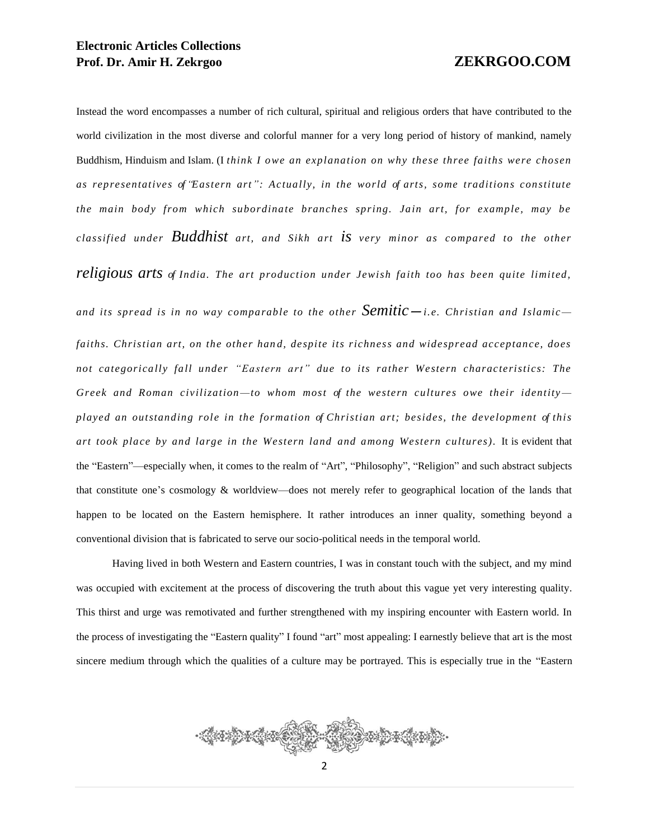Instead the word encompasses a number of rich cultural, spiritual and religious orders that have contributed to the world civilization in the most diverse and colorful manner for a very long period of history of mankind, namely Buddhism, Hinduism and Islam. (I *think I owe an explanation on why these three faiths were chosen as representatives of "Eastern art": Actually, in the world of arts, some traditions constitute the main body from which subordinate branches spring. Jain art, for example, may be classified under Buddhist art, and Sikh art is very minor as compared to the other religious arts of India. The art production under Jewish faith too has been quite limited, and its spread is in no way comparable to the other Semitic*—*i.e. Christian and Islamic* faiths. Christian art, on the other hand, despite its richness and widespread acceptance, does *not categorically fall under "Eastern art" due to its rather Western characteristics: The Greek and Roman civilization —to whom most of the western cultures owe their identity played an outstanding rol e in the formation of Christian art; besides, the development of this art took place by and large in the Western land and among Western cultures).* It is evident that the "Eastern"—especially when, it comes to the realm of "Art", "Philosophy", "Religion" and such abstract subjects that constitute one's cosmology & worldview—does not merely refer to geographical location of the lands that happen to be located on the Eastern hemisphere. It rather introduces an inner quality, something beyond a conventional division that is fabricated to serve our socio-political needs in the temporal world.

Having lived in both Western and Eastern countries, I was in constant touch with the subject, and my mind was occupied with excitement at the process of discovering the truth about this vague yet very interesting quality. This thirst and urge was remotivated and further strengthened with my inspiring encounter with Eastern world. In the process of investigating the "Eastern quality" I found "art" most appealing: I earnestly believe that art is the most sincere medium through which the qualities of a culture may be portrayed. This is especially true in the "Eastern

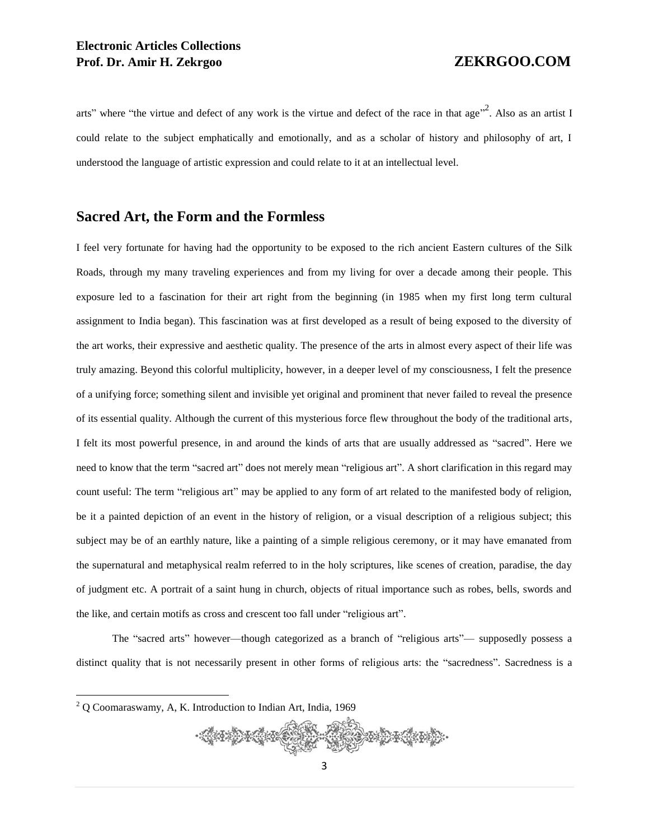arts" where "the virtue and defect of any work is the virtue and defect of the race in that age"<sup>2</sup>. Also as an artist I could relate to the subject emphatically and emotionally, and as a scholar of history and philosophy of art, I understood the language of artistic expression and could relate to it at an intellectual level.

### **Sacred Art, the Form and the Formless**

I feel very fortunate for having had the opportunity to be exposed to the rich ancient Eastern cultures of the Silk Roads, through my many traveling experiences and from my living for over a decade among their people. This exposure led to a fascination for their art right from the beginning (in 1985 when my first long term cultural assignment to India began). This fascination was at first developed as a result of being exposed to the diversity of the art works, their expressive and aesthetic quality. The presence of the arts in almost every aspect of their life was truly amazing. Beyond this colorful multiplicity, however, in a deeper level of my consciousness, I felt the presence of a unifying force; something silent and invisible yet original and prominent that never failed to reveal the presence of its essential quality. Although the current of this mysterious force flew throughout the body of the traditional arts, I felt its most powerful presence, in and around the kinds of arts that are usually addressed as "sacred". Here we need to know that the term "sacred art" does not merely mean "religious art". A short clarification in this regard may count useful: The term "religious art" may be applied to any form of art related to the manifested body of religion, be it a painted depiction of an event in the history of religion, or a visual description of a religious subject; this subject may be of an earthly nature, like a painting of a simple religious ceremony, or it may have emanated from the supernatural and metaphysical realm referred to in the holy scriptures, like scenes of creation, paradise, the day of judgment etc. A portrait of a saint hung in church, objects of ritual importance such as robes, bells, swords and the like, and certain motifs as cross and crescent too fall under "religious art".

The "sacred arts" however—though categorized as a branch of "religious arts"— supposedly possess a distinct quality that is not necessarily present in other forms of religious arts: the "sacredness". Sacredness is a

<sup>2</sup> Q Coomaraswamy, A, K. Introduction to Indian Art, India, 1969

 $\overline{a}$ 

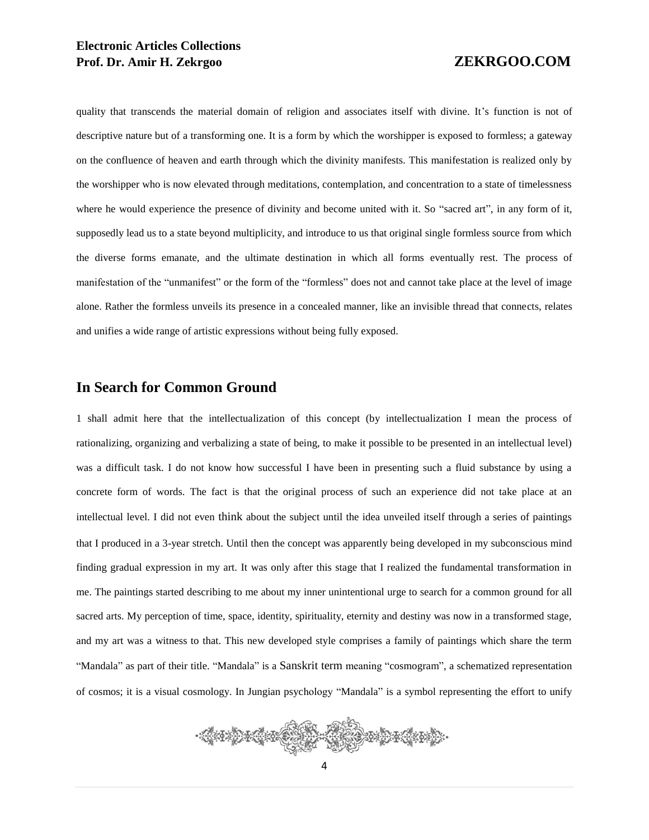### **Electronic Articles Collections Prof. Dr. Amir H. Zekrgoo ZEKRGOO.COM**

quality that transcends the material domain of religion and associates itself with divine. It's function is not of descriptive nature but of a transforming one. It is a form by which the worshipper is exposed to formless; a gateway on the confluence of heaven and earth through which the divinity manifests. This manifestation is realized only by the worshipper who is now elevated through meditations, contemplation, and concentration to a state of timelessness where he would experience the presence of divinity and become united with it. So "sacred art", in any form of it, supposedly lead us to a state beyond multiplicity, and introduce to us that original single formless source from which the diverse forms emanate, and the ultimate destination in which all forms eventually rest. The process of manifestation of the "unmanifest" or the form of the "formless" does not and cannot take place at the level of image alone. Rather the formless unveils its presence in a concealed manner, like an invisible thread that connects, relates and unifies a wide range of artistic expressions without being fully exposed.

### **In Search for Common Ground**

1 shall admit here that the intellectualization of this concept (by intellectualization I mean the process of rationalizing, organizing and verbalizing a state of being, to make it possible to be presented in an intellectual level) was a difficult task. I do not know how successful I have been in presenting such a fluid substance by using a concrete form of words. The fact is that the original process of such an experience did not take place at an intellectual level. I did not even think about the subject until the idea unveiled itself through a series of paintings that I produced in a 3-year stretch. Until then the concept was apparently being developed in my subconscious mind finding gradual expression in my art. It was only after this stage that I realized the fundamental transformation in me. The paintings started describing to me about my inner unintentional urge to search for a common ground for all sacred arts. My perception of time, space, identity, spirituality, eternity and destiny was now in a transformed stage, and my art was a witness to that. This new developed style comprises a family of paintings which share the term "Mandala" as part of their title. "Mandala" is a Sanskrit term meaning "cosmogram", a schematized representation of cosmos; it is a visual cosmology. In Jungian psychology "Mandala" is a symbol representing the effort to unify

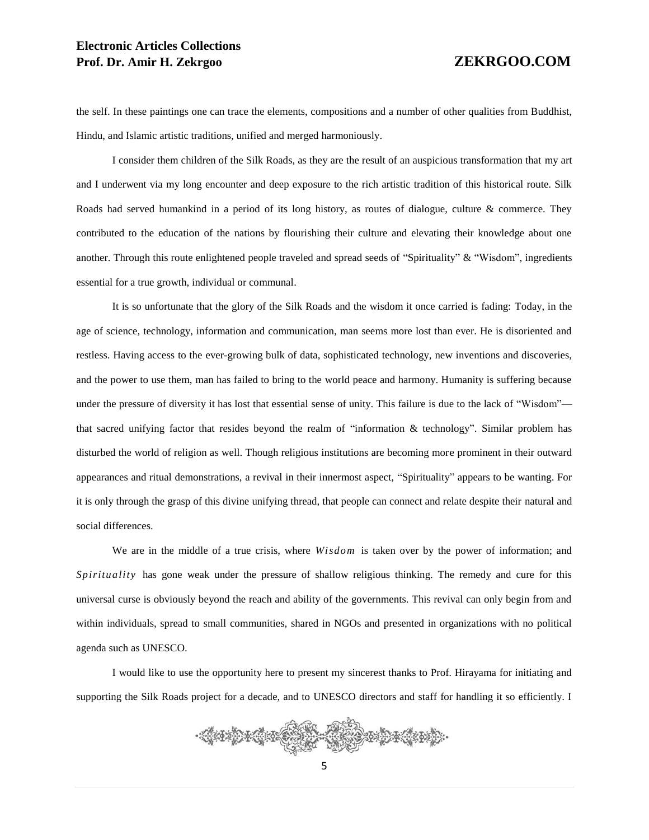### **Electronic Articles Collections Prof. Dr. Amir H. Zekrgoo ZEKRGOO.COM**

the self. In these paintings one can trace the elements, compositions and a number of other qualities from Buddhist, Hindu, and Islamic artistic traditions, unified and merged harmoniously.

I consider them children of the Silk Roads, as they are the result of an auspicious transformation that my art and I underwent via my long encounter and deep exposure to the rich artistic tradition of this historical route. Silk Roads had served humankind in a period of its long history, as routes of dialogue, culture & commerce. They contributed to the education of the nations by flourishing their culture and elevating their knowledge about one another. Through this route enlightened people traveled and spread seeds of "Spirituality" & "Wisdom", ingredients essential for a true growth, individual or communal.

It is so unfortunate that the glory of the Silk Roads and the wisdom it once carried is fading: Today, in the age of science, technology, information and communication, man seems more lost than ever. He is disoriented and restless. Having access to the ever-growing bulk of data, sophisticated technology, new inventions and discoveries, and the power to use them, man has failed to bring to the world peace and harmony. Humanity is suffering because under the pressure of diversity it has lost that essential sense of unity. This failure is due to the lack of "Wisdom" that sacred unifying factor that resides beyond the realm of "information & technology". Similar problem has disturbed the world of religion as well. Though religious institutions are becoming more prominent in their outward appearances and ritual demonstrations, a revival in their innermost aspect, "Spirituality" appears to be wanting. For it is only through the grasp of this divine unifying thread, that people can connect and relate despite their natural and social differences.

We are in the middle of a true crisis, where *Wisdom* is taken over by the power of information; and *Spirituality* has gone weak under the pressure of shallow religious thinking. The remedy and cure for this universal curse is obviously beyond the reach and ability of the governments. This revival can only begin from and within individuals, spread to small communities, shared in NGOs and presented in organizations with no political agenda such as UNESCO.

I would like to use the opportunity here to present my sincerest thanks to Prof. Hirayama for initiating and supporting the Silk Roads project for a decade, and to UNESCO directors and staff for handling it so efficiently. I